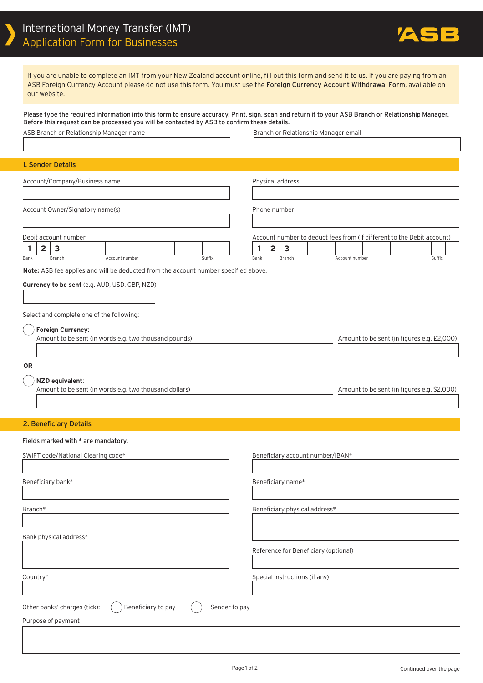

If you are unable to complete an IMT from your New Zealand account online, fill out this form and send it to us. If you are paying from an ASB Foreign Currency Account please do not use this form. You must use the Foreign Currency Account Withdrawal Form, available on our website.

Please type the required information into this form to ensure accuracy. Print, sign, scan and return it to your ASB Branch or Relationship Manager. Before this request can be processed you will be contacted by ASB to confirm these details.

| ASB Branch or Relationship Manager name                                                                 | Branch or Relationship Manager email                                                                                                                                            |  |
|---------------------------------------------------------------------------------------------------------|---------------------------------------------------------------------------------------------------------------------------------------------------------------------------------|--|
|                                                                                                         |                                                                                                                                                                                 |  |
| 1. Sender Details                                                                                       |                                                                                                                                                                                 |  |
| Account/Company/Business name                                                                           | Physical address                                                                                                                                                                |  |
| Account Owner/Signatory name(s)                                                                         | Phone number                                                                                                                                                                    |  |
| Debit account number<br>$\mathbf{3}$<br>$\mathbf{2}$<br>1<br>Branch<br>Account number<br>Suffix<br>Bank | Account number to deduct fees from (if different to the Debit account)<br>$\overline{\mathbf{c}}$<br>$\overline{\mathbf{3}}$<br>1<br>Account number<br>Suffix<br>Bank<br>Branch |  |
| Note: ASB fee applies and will be deducted from the account number specified above.                     |                                                                                                                                                                                 |  |
| Currency to be sent (e.g. AUD, USD, GBP, NZD)                                                           |                                                                                                                                                                                 |  |
| Select and complete one of the following:                                                               |                                                                                                                                                                                 |  |
| Foreign Currency:<br>Amount to be sent (in words e.g. two thousand pounds)                              | Amount to be sent (in figures e.g. £2,000)                                                                                                                                      |  |
| <b>OR</b>                                                                                               |                                                                                                                                                                                 |  |
| NZD equivalent:<br>Amount to be sent (in words e.g. two thousand dollars)                               | Amount to be sent (in figures e.g. \$2,000)                                                                                                                                     |  |
| 2. Beneficiary Details                                                                                  |                                                                                                                                                                                 |  |
| Fields marked with * are mandatory.                                                                     |                                                                                                                                                                                 |  |
| SWIFT code/National Clearing code*                                                                      | Beneficiary account number/IBAN*                                                                                                                                                |  |
| Beneficiary bank*                                                                                       | Beneficiary name*                                                                                                                                                               |  |
|                                                                                                         |                                                                                                                                                                                 |  |
| Branch*                                                                                                 | Beneficiary physical address*                                                                                                                                                   |  |
| Bank physical address*                                                                                  |                                                                                                                                                                                 |  |
|                                                                                                         | Reference for Beneficiary (optional)                                                                                                                                            |  |
|                                                                                                         |                                                                                                                                                                                 |  |
| Country*                                                                                                | Special instructions (if any)                                                                                                                                                   |  |
|                                                                                                         |                                                                                                                                                                                 |  |
| Other banks' charges (tick):<br>Beneficiary to pay<br>Sender to pay                                     |                                                                                                                                                                                 |  |
| Purpose of payment                                                                                      |                                                                                                                                                                                 |  |
|                                                                                                         |                                                                                                                                                                                 |  |